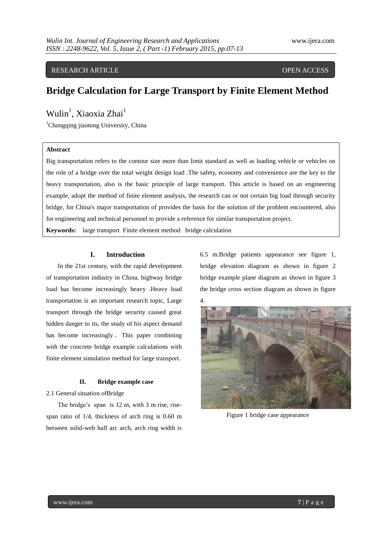## RESEARCH ARTICLE OPEN ACCESS

# **Bridge Calculation for Large Transport by Finite Element Method**

# Wulin<sup>1</sup>, Xiaoxia Zhai<sup>1</sup>

<sup>1</sup>Chongqing jiaotong University, China

#### **Abstract**

Big transportation refers to the contour size more than limit standard as well as loading vehicle or vehicles on the role of a bridge over the total weight design load .The safety, economy and convenience are the key to the heavy transportation, also is the basic principle of large transport. This article is based on an engineering example, adopt the method of finite element analysis, the research can or not certain big load through security bridge, for China's major transportation of provides the basis for the solution of the problem encountered, also for engineering and technical personnel to provide a reference for similar transportation project.

**Keywords:** large transport Finite element method bridge calculation

#### **I. Introduction**

In the 21st century, with the rapid development of transportation industry in China, highway bridge load has become increasingly heavy .Heavy load transportation is an important research topic, Large transport through the bridge security caused great hidden danger to its, the study of his aspect demand has become increasingly。 This paper combining with the concrete bridge example calculations with finite element simulation method for large transport.

#### **II. Bridge example case**

2.1 General situation ofBridge

The bridge's span is 12 m, with 3 m rise, risespan ratio of 1/4, thickness of arch ring is 0.60 m between solid-web half arc arch, arch ring width is

6.5 m.Bridge patients appearance see figure 1, bridge elevation diagram as shown in figure 2 bridge example plane diagram as shown in figure 3 the bridge cross section diagram as shown in figure 4.



Figure 1 bridge case appearance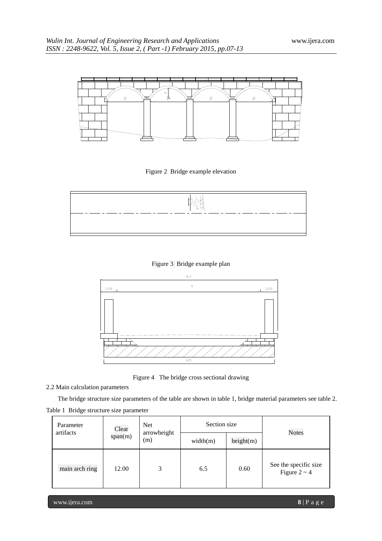

Figure 2 Bridge example elevation



Figure 3 Bridge example plan



Figure 4 The bridge cross sectional drawing

2.2 Main calculation parameters

The bridge structure size parameters of the table are shown in table 1, bridge material parameters see table 2. Table 1 Bridge structure size parameter

| Parameter<br>artifacts | Net<br>Clear |                    | Section size |           | <b>Notes</b>                               |  |
|------------------------|--------------|--------------------|--------------|-----------|--------------------------------------------|--|
|                        | span(m)      | arrowheight<br>(m) | width(m)     | height(m) |                                            |  |
| main arch ring         | 12.00        | 3                  | 6.5          | 0.60      | See the specific size<br>Figure 2 $\sim$ 4 |  |

www.ijera.com **8** | P a g e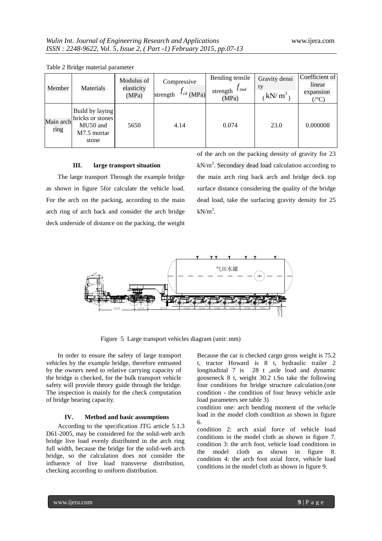| Member | Materials                                                                         | Modulus of<br>elasticity<br>(MPa) | Compressive<br>$J_{cd}$ (MPa)<br>strength | Bending tensile<br>$f_{\text{tmd}}$<br>strength<br>(MPa) | Gravity densi<br>ty<br>$kN/m^3$ | Coefficient of<br>linear<br>expansion<br>/°C |
|--------|-----------------------------------------------------------------------------------|-----------------------------------|-------------------------------------------|----------------------------------------------------------|---------------------------------|----------------------------------------------|
| ring   | Build by laying<br>Main arch bricks or stones<br>MU50 and<br>M7.5 mortar<br>stone | 5650                              | 4.14                                      | 0.074                                                    | 23.0                            | 0.000008                                     |

Table 2 Bridge material parameter

#### **III. large transport situation**

The large transport Through the example bridge as shown in figure 5for calculate the vehicle load. For the arch on the packing, according to the main arch ring of arch back and consider the arch bridge deck underside of distance on the packing, the weight

of the arch on the packing density of gravity for 23  $kN/m<sup>3</sup>$ . Secondary dead load calculation according to the main arch ring back arch and bridge deck top surface distance considering the quality of the bridge dead load, take the surfacing gravity density for 25  $kN/m^3$ .



Figure 5Large transport vehicles diagram (unit: mm)

In order to ensure the safety of large transport vehicles by the example bridge, therefore entrusted by the owners need to relative carrying capacity of the bridge is checked, for the bulk transport vehicle safety will provide theory guide through the bridge. The inspection is mainly for the check computation of bridge bearing capacity.

#### **IV. Method and basic assumptions**

According to the specification JTG article 5.1.3 D61-2005, may be considered for the solid-web arch bridge live load evenly distributed in the arch ring full width, because the bridge for the solid-web arch bridge, so the calculation does not consider the influence of live load transverse distribution, checking according to uniform distribution.

Because the car is checked cargo gross weight is 75.2 t, tractor Howard is 8 t, hydraulic trailer 2 longitudinal 7 is 28 t ,axle load and dynamic gooseneck 8 t, weight 30.2 t.So take the following four conditions for bridge structure calculation.(one condition - the condition of four heavy vehicle axle load parameters see table 3)

condition one: arch bending moment of the vehicle load in the model cloth condition as shown in figure 6.

condition 2: arch axial force of vehicle load conditions in the model cloth as shown in figure 7. condition 3: the arch foot, vehicle load conditions in the model cloth as shown in figure 8. condition 4: the arch foot axial force, vehicle load conditions in the model cloth as shown in figure 9.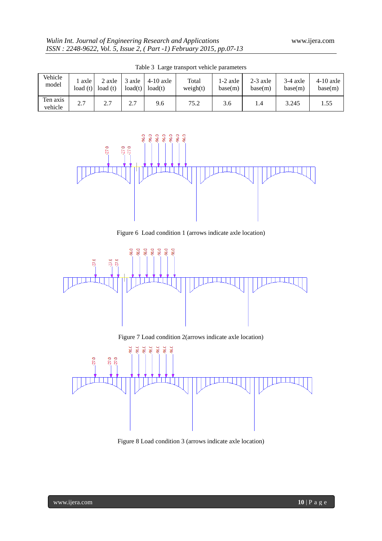| Vehicle             | axle         | 2 axle  | 3 axle       | $4-10$ axle | Total     | 1-2 axle | $2-3$ axle | $3-4$ axle | $4-10$ axle |
|---------------------|--------------|---------|--------------|-------------|-----------|----------|------------|------------|-------------|
| model               | load $(t)$   | load(t) | load(t)      | load(t)     | weight(t) | base(m)  | base(m)    | base(m)    | base(m)     |
| Ten axis<br>vehicle | າ 7<br>، ، ۷ | 2.7     | າ າ<br>، ، ۷ | 9.6         | 75.2      | 3.6      | 1.4        | 3.245      | 1.55        |

Table 3 Large transport vehicle parameters



Figure 6 Load condition 1 (arrows indicate axle location)



Figure 8 Load condition 3 (arrows indicate axle location)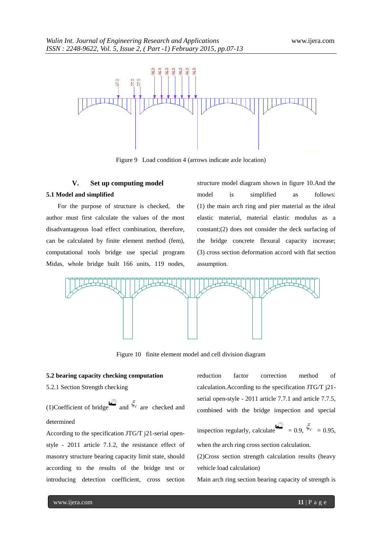

Figure 9 Load condition 4 (arrows indicate axle location)

### **V. Set up computing model**

#### **5.1 Model and simplified**

For the purpose of structure is checked, the author must first calculate the values of the most disadvantageous load effect combination, therefore, can be calculated by finite element method (fem), computational tools bridge use special program Midas, whole bridge built 166 units, 119 nodes,

structure model diagram shown in figure 10.And the model is simplified as follows: (1) the main arch ring and pier material as the ideal elastic material, material elastic modulus as a constant;(2) does not consider the deck surfacing of the bridge concrete flexural capacity increase; (3) cross section deformation accord with flat section assumption.



Figure 10 finite element model and cell division diagram

### **5.2 bearing capacity checking computation**

5.2.1 Section Strength checking

(1)Coefficient of bridge and  $\zeta_c$  are checked and determined

According to the specification JTG/T j21-serial openstyle - 2011 article 7.1.2, the resistance effect of masonry structure bearing capacity limit state, should according to the results of the bridge test or introducing detection coefficient, cross section

reduction factor correction method of calculation.According to the specification JTG/T j21 serial open-style - 2011 article 7.7.1 and article 7.7.5, combined with the bridge inspection and special

inspection regularly, calculate  $\mathcal{E}_e = 0.9$ ,  $\mathcal{E}_e = 0.95$ , when the arch ring cross section calculation.

(2)Cross section strength calculation results (heavy vehicle load calculation)

Main arch ring section bearing capacity of strength is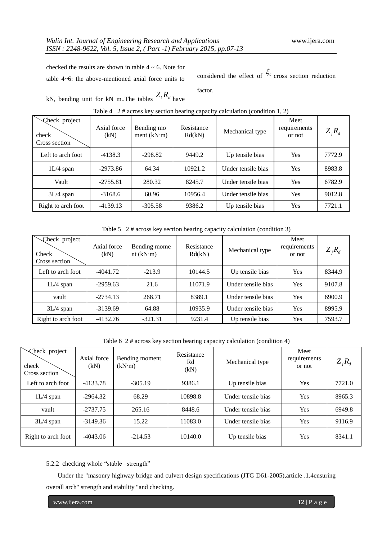checked the results are shown in table  $4 \sim 6$ . Note for table 4~6: the above-mentioned axial force units to

considered the effect of  $\zeta_c$  cross section reduction

kN, bending unit for kN m..The tables  $Z_1 R_d$  have

factor.

| Check project<br>check<br>Cross section | Axial force<br>(kN) | Bending mo<br>ment $(kN·m)$ | Resistance<br>Rd(kN) | Mechanical type    | Meet<br>requirements<br>or not | $Z_i R_d$ |
|-----------------------------------------|---------------------|-----------------------------|----------------------|--------------------|--------------------------------|-----------|
| Left to arch foot                       | $-4138.3$           | $-298.82$                   | 9449.2               | Up tensile bias    | Yes                            | 7772.9    |
| $1L/4$ span                             | $-2973.86$          | 64.34                       | 10921.2              | Under tensile bias | Yes                            | 8983.8    |
| Vault                                   | $-2755.81$          | 280.32                      | 8245.7               | Under tensile bias | Yes                            | 6782.9    |
| $3L/4$ span                             | $-3168.6$           | 60.96                       | 10956.4              | Under tensile bias | Yes                            | 9012.8    |
| Right to arch foot                      | $-4139.13$          | $-305.58$                   | 9386.2               | Up tensile bias    | Yes                            | 7721.1    |

Table 4 2 # across key section bearing capacity calculation (condition 1, 2)

Table 5 2 # across key section bearing capacity calculation (condition 3)

| Check project<br>Check<br>Cross section | Axial force<br>(kN) | Bending mome<br>nt $(kN·m)$ | Resistance<br>Rd(kN) | Mechanical type    | Meet<br>requirements<br>or not | $Z_i R_d$ |
|-----------------------------------------|---------------------|-----------------------------|----------------------|--------------------|--------------------------------|-----------|
| Left to arch foot                       | $-4041.72$          | $-213.9$                    | 10144.5              | Up tensile bias    | Yes                            | 8344.9    |
| $1L/4$ span                             | $-2959.63$          | 21.6                        | 11071.9              | Under tensile bias | Yes                            | 9107.8    |
| vault                                   | $-2734.13$          | 268.71                      | 8389.1               | Under tensile bias | Yes                            | 6900.9    |
| $3L/4$ span                             | $-3139.69$          | 64.88                       | 10935.9              | Under tensile bias | Yes                            | 8995.9    |
| Right to arch foot                      | $-4132.76$          | $-321.31$                   | 9231.4               | Up tensile bias    | Yes                            | 7593.7    |

Table 6 2 # across key section bearing capacity calculation (condition 4)

| Check project<br>check<br>Cross section | Axial force<br>(kN) | Bending moment<br>(kN·m) | Resistance<br>Rd<br>(kN) | Mechanical type    | Meet<br>requirements<br>or not | $Z_i R_d$ |
|-----------------------------------------|---------------------|--------------------------|--------------------------|--------------------|--------------------------------|-----------|
| Left to arch foot                       | $-4133.78$          | $-305.19$                | 9386.1                   | Up tensile bias    | Yes                            | 7721.0    |
| $1L/4$ span                             | $-2964.32$          | 68.29                    | 10898.8                  | Under tensile bias | <b>Yes</b>                     | 8965.3    |
| vault                                   | $-2737.75$          | 265.16                   | 8448.6                   | Under tensile bias | Yes                            | 6949.8    |
| $3L/4$ span                             | $-3149.36$          | 15.22                    | 11083.0                  | Under tensile bias | Yes                            | 9116.9    |
| Right to arch foot                      | $-4043.06$          | $-214.53$                | 10140.0                  | Up tensile bias    | Yes                            | 8341.1    |

5.2.2 checking whole "stable –strength"

Under the "masonry highway bridge and culvert design specifications (JTG D61-2005),article .1.4ensuring overall arch" strength and stability "and checking.